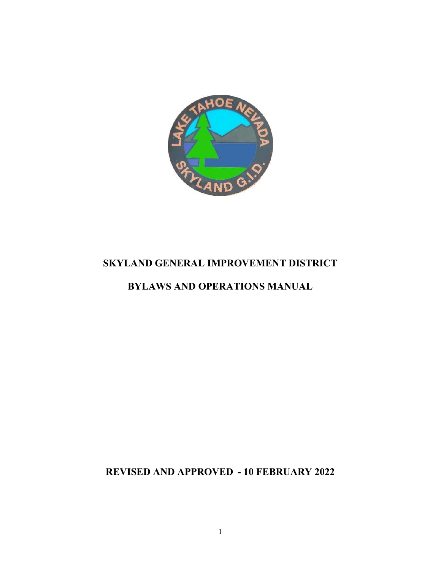

# SKYLAND GENERAL IMPROVEMENT DISTRICT

# BYLAWS AND OPERATIONS MANUAL

REVISED AND APPROVED - 10 FEBRUARY 2022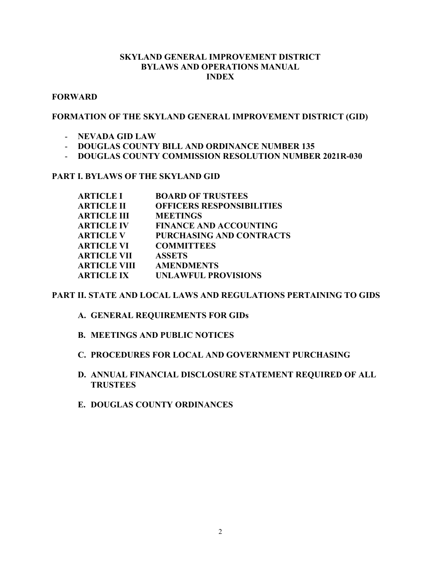### SKYLAND GENERAL IMPROVEMENT DISTRICT BYLAWS AND OPERATIONS MANUAL INDEX

### **FORWARD**

### FORMATION OF THE SKYLAND GENERAL IMPROVEMENT DISTRICT (GID)

- NEVADA GID LAW
- DOUGLAS COUNTY BILL AND ORDINANCE NUMBER 135
- DOUGLAS COUNTY COMMISSION RESOLUTION NUMBER 2021R-030

### PART I. BYLAWS OF THE SKYLAND GID

| <b>ARTICLE I</b>    | <b>BOARD OF TRUSTEES</b>         |
|---------------------|----------------------------------|
| <b>ARTICLE II</b>   | <b>OFFICERS RESPONSIBILITIES</b> |
| <b>ARTICLE III</b>  | <b>MEETINGS</b>                  |
| <b>ARTICLE IV</b>   | <b>FINANCE AND ACCOUNTING</b>    |
| <b>ARTICLE V</b>    | <b>PURCHASING AND CONTRACTS</b>  |
| <b>ARTICLE VI</b>   | <b>COMMITTEES</b>                |
| <b>ARTICLE VII</b>  | <b>ASSETS</b>                    |
| <b>ARTICLE VIII</b> | <b>AMENDMENTS</b>                |
| <b>ARTICLE IX</b>   | <b>UNLAWFUL PROVISIONS</b>       |
|                     |                                  |

### PART II. STATE AND LOCAL LAWS AND REGULATIONS PERTAINING TO GIDS

A. GENERAL REQUIREMENTS FOR GIDs

- B. MEETINGS AND PUBLIC NOTICES
- C. PROCEDURES FOR LOCAL AND GOVERNMENT PURCHASING
- D. ANNUAL FINANCIAL DISCLOSURE STATEMENT REQUIRED OF ALL **TRUSTEES**
- E. DOUGLAS COUNTY ORDINANCES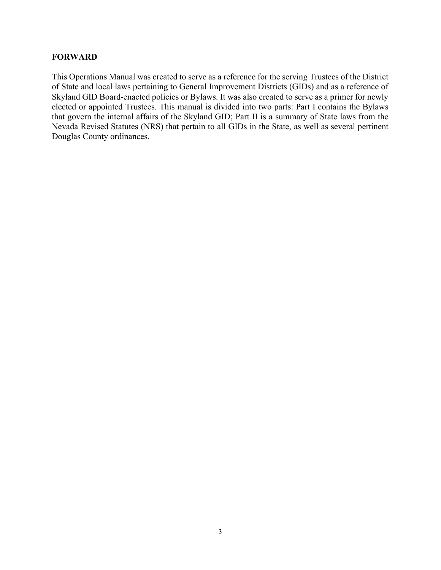### FORWARD

This Operations Manual was created to serve as a reference for the serving Trustees of the District of State and local laws pertaining to General Improvement Districts (GIDs) and as a reference of Skyland GID Board-enacted policies or Bylaws. It was also created to serve as a primer for newly elected or appointed Trustees. This manual is divided into two parts: Part I contains the Bylaws that govern the internal affairs of the Skyland GID; Part II is a summary of State laws from the Nevada Revised Statutes (NRS) that pertain to all GIDs in the State, as well as several pertinent Douglas County ordinances.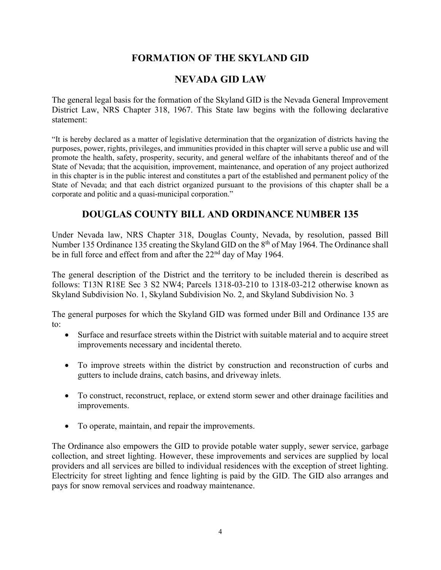# FORMATION OF THE SKYLAND GID

### NEVADA GID LAW

The general legal basis for the formation of the Skyland GID is the Nevada General Improvement District Law, NRS Chapter 318, 1967. This State law begins with the following declarative statement:

"It is hereby declared as a matter of legislative determination that the organization of districts having the purposes, power, rights, privileges, and immunities provided in this chapter will serve a public use and will promote the health, safety, prosperity, security, and general welfare of the inhabitants thereof and of the State of Nevada; that the acquisition, improvement, maintenance, and operation of any project authorized in this chapter is in the public interest and constitutes a part of the established and permanent policy of the State of Nevada; and that each district organized pursuant to the provisions of this chapter shall be a corporate and politic and a quasi-municipal corporation."

# DOUGLAS COUNTY BILL AND ORDINANCE NUMBER 135

Under Nevada law, NRS Chapter 318, Douglas County, Nevada, by resolution, passed Bill Number 135 Ordinance 135 creating the Skyland GID on the 8<sup>th</sup> of May 1964. The Ordinance shall be in full force and effect from and after the  $22<sup>nd</sup>$  day of May 1964.

The general description of the District and the territory to be included therein is described as follows: T13N R18E Sec 3 S2 NW4; Parcels 1318-03-210 to 1318-03-212 otherwise known as Skyland Subdivision No. 1, Skyland Subdivision No. 2, and Skyland Subdivision No. 3

The general purposes for which the Skyland GID was formed under Bill and Ordinance 135 are to:

- Surface and resurface streets within the District with suitable material and to acquire street improvements necessary and incidental thereto.
- To improve streets within the district by construction and reconstruction of curbs and gutters to include drains, catch basins, and driveway inlets.
- To construct, reconstruct, replace, or extend storm sewer and other drainage facilities and improvements.
- To operate, maintain, and repair the improvements.

The Ordinance also empowers the GID to provide potable water supply, sewer service, garbage collection, and street lighting. However, these improvements and services are supplied by local providers and all services are billed to individual residences with the exception of street lighting. Electricity for street lighting and fence lighting is paid by the GID. The GID also arranges and pays for snow removal services and roadway maintenance.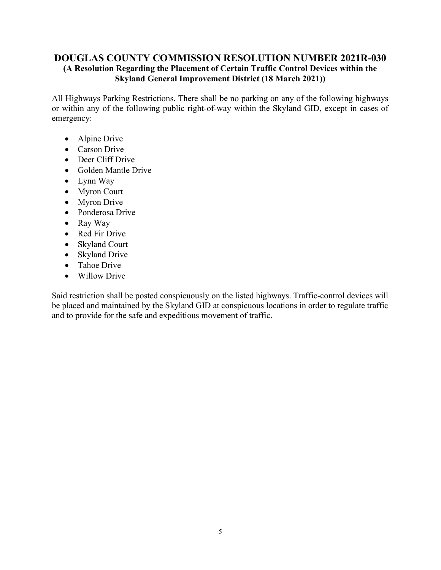### DOUGLAS COUNTY COMMISSION RESOLUTION NUMBER 2021R-030 (A Resolution Regarding the Placement of Certain Traffic Control Devices within the Skyland General Improvement District (18 March 2021))

All Highways Parking Restrictions. There shall be no parking on any of the following highways or within any of the following public right-of-way within the Skyland GID, except in cases of emergency:

- Alpine Drive
- Carson Drive
- Deer Cliff Drive
- Golden Mantle Drive
- Lynn Way
- Myron Court
- Myron Drive
- Ponderosa Drive
- Ray Way
- Red Fir Drive
- Skyland Court
- Skyland Drive
- Tahoe Drive
- Willow Drive

Said restriction shall be posted conspicuously on the listed highways. Traffic-control devices will be placed and maintained by the Skyland GID at conspicuous locations in order to regulate traffic and to provide for the safe and expeditious movement of traffic.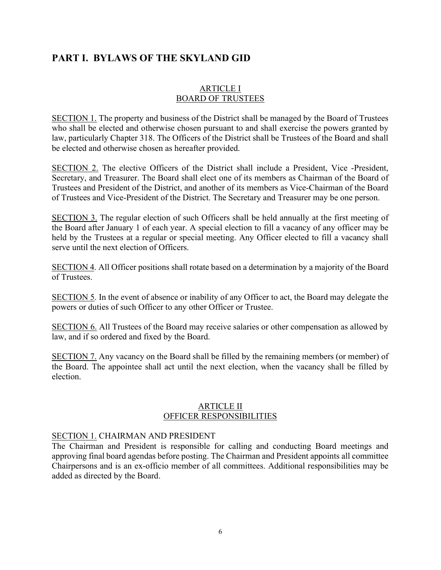### ARTICLE I BOARD OF TRUSTEES

SECTION 1. The property and business of the District shall be managed by the Board of Trustees who shall be elected and otherwise chosen pursuant to and shall exercise the powers granted by law, particularly Chapter 318. The Officers of the District shall be Trustees of the Board and shall be elected and otherwise chosen as hereafter provided.

SECTION 2. The elective Officers of the District shall include a President, Vice -President, Secretary, and Treasurer. The Board shall elect one of its members as Chairman of the Board of Trustees and President of the District, and another of its members as Vice-Chairman of the Board of Trustees and Vice-President of the District. The Secretary and Treasurer may be one person.

SECTION 3. The regular election of such Officers shall be held annually at the first meeting of the Board after January 1 of each year. A special election to fill a vacancy of any officer may be held by the Trustees at a regular or special meeting. Any Officer elected to fill a vacancy shall serve until the next election of Officers.

SECTION 4. All Officer positions shall rotate based on a determination by a majority of the Board of Trustees.

SECTION 5. In the event of absence or inability of any Officer to act, the Board may delegate the powers or duties of such Officer to any other Officer or Trustee.

SECTION 6. All Trustees of the Board may receive salaries or other compensation as allowed by law, and if so ordered and fixed by the Board.

SECTION 7. Any vacancy on the Board shall be filled by the remaining members (or member) of the Board. The appointee shall act until the next election, when the vacancy shall be filled by election.

#### ARTICLE II OFFICER RESPONSIBILITIES

### SECTION 1. CHAIRMAN AND PRESIDENT

The Chairman and President is responsible for calling and conducting Board meetings and approving final board agendas before posting. The Chairman and President appoints all committee Chairpersons and is an ex-officio member of all committees. Additional responsibilities may be added as directed by the Board.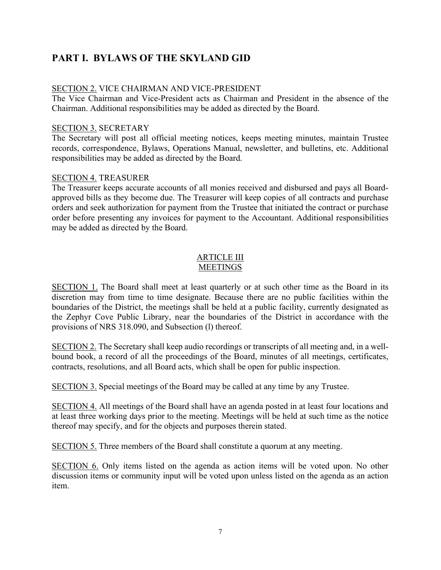### SECTION 2. VICE CHAIRMAN AND VICE-PRESIDENT

The Vice Chairman and Vice-President acts as Chairman and President in the absence of the Chairman. Additional responsibilities may be added as directed by the Board.

#### SECTION 3. SECRETARY

The Secretary will post all official meeting notices, keeps meeting minutes, maintain Trustee records, correspondence, Bylaws, Operations Manual, newsletter, and bulletins, etc. Additional responsibilities may be added as directed by the Board.

#### SECTION 4. TREASURER

The Treasurer keeps accurate accounts of all monies received and disbursed and pays all Boardapproved bills as they become due. The Treasurer will keep copies of all contracts and purchase orders and seek authorization for payment from the Trustee that initiated the contract or purchase order before presenting any invoices for payment to the Accountant. Additional responsibilities may be added as directed by the Board.

### ARTICLE III **MEETINGS**

SECTION 1. The Board shall meet at least quarterly or at such other time as the Board in its discretion may from time to time designate. Because there are no public facilities within the boundaries of the District, the meetings shall be held at a public facility, currently designated as the Zephyr Cove Public Library, near the boundaries of the District in accordance with the provisions of NRS 318.090, and Subsection (l) thereof.

SECTION 2. The Secretary shall keep audio recordings or transcripts of all meeting and, in a wellbound book, a record of all the proceedings of the Board, minutes of all meetings, certificates, contracts, resolutions, and all Board acts, which shall be open for public inspection.

SECTION 3. Special meetings of the Board may be called at any time by any Trustee.

SECTION 4. All meetings of the Board shall have an agenda posted in at least four locations and at least three working days prior to the meeting. Meetings will be held at such time as the notice thereof may specify, and for the objects and purposes therein stated.

SECTION 5. Three members of the Board shall constitute a quorum at any meeting.

SECTION 6. Only items listed on the agenda as action items will be voted upon. No other discussion items or community input will be voted upon unless listed on the agenda as an action item.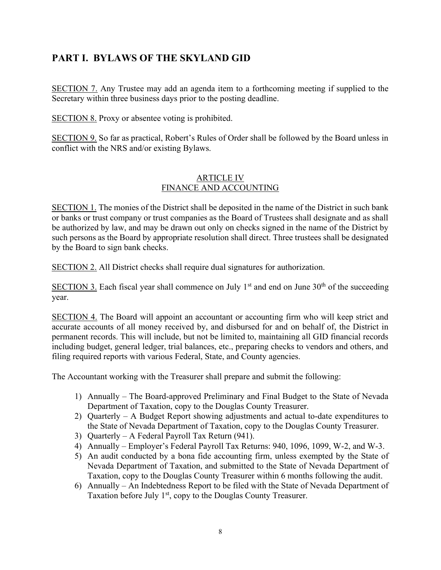SECTION 7. Any Trustee may add an agenda item to a forthcoming meeting if supplied to the Secretary within three business days prior to the posting deadline.

SECTION 8. Proxy or absentee voting is prohibited.

SECTION 9. So far as practical, Robert's Rules of Order shall be followed by the Board unless in conflict with the NRS and/or existing Bylaws.

### ARTICLE IV FINANCE AND ACCOUNTING

SECTION 1. The monies of the District shall be deposited in the name of the District in such bank or banks or trust company or trust companies as the Board of Trustees shall designate and as shall be authorized by law, and may be drawn out only on checks signed in the name of the District by such persons as the Board by appropriate resolution shall direct. Three trustees shall be designated by the Board to sign bank checks.

SECTION 2. All District checks shall require dual signatures for authorization.

SECTION 3. Each fiscal year shall commence on July  $1<sup>st</sup>$  and end on June  $30<sup>th</sup>$  of the succeeding year.

SECTION 4. The Board will appoint an accountant or accounting firm who will keep strict and accurate accounts of all money received by, and disbursed for and on behalf of, the District in permanent records. This will include, but not be limited to, maintaining all GID financial records including budget, general ledger, trial balances, etc., preparing checks to vendors and others, and filing required reports with various Federal, State, and County agencies.

The Accountant working with the Treasurer shall prepare and submit the following:

- 1) Annually The Board-approved Preliminary and Final Budget to the State of Nevada Department of Taxation, copy to the Douglas County Treasurer.
- 2) Quarterly A Budget Report showing adjustments and actual to-date expenditures to the State of Nevada Department of Taxation, copy to the Douglas County Treasurer.
- 3) Quarterly A Federal Payroll Tax Return (941).
- 4) Annually Employer's Federal Payroll Tax Returns: 940, 1096, 1099, W-2, and W-3.
- 5) An audit conducted by a bona fide accounting firm, unless exempted by the State of Nevada Department of Taxation, and submitted to the State of Nevada Department of Taxation, copy to the Douglas County Treasurer within 6 months following the audit.
- 6) Annually An Indebtedness Report to be filed with the State of Nevada Department of Taxation before July  $1<sup>st</sup>$ , copy to the Douglas County Treasurer.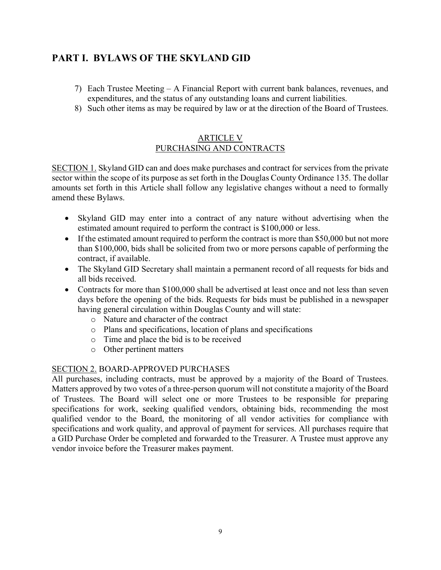- 7) Each Trustee Meeting A Financial Report with current bank balances, revenues, and expenditures, and the status of any outstanding loans and current liabilities.
- 8) Such other items as may be required by law or at the direction of the Board of Trustees.

### ARTICLE V PURCHASING AND CONTRACTS

SECTION 1. Skyland GID can and does make purchases and contract for services from the private sector within the scope of its purpose as set forth in the Douglas County Ordinance 135. The dollar amounts set forth in this Article shall follow any legislative changes without a need to formally amend these Bylaws.

- Skyland GID may enter into a contract of any nature without advertising when the estimated amount required to perform the contract is \$100,000 or less.
- If the estimated amount required to perform the contract is more than \$50,000 but not more than \$100,000, bids shall be solicited from two or more persons capable of performing the contract, if available.
- The Skyland GID Secretary shall maintain a permanent record of all requests for bids and all bids received.
- Contracts for more than \$100,000 shall be advertised at least once and not less than seven days before the opening of the bids. Requests for bids must be published in a newspaper having general circulation within Douglas County and will state:
	- o Nature and character of the contract
	- o Plans and specifications, location of plans and specifications
	- o Time and place the bid is to be received
	- o Other pertinent matters

### SECTION 2. BOARD-APPROVED PURCHASES

All purchases, including contracts, must be approved by a majority of the Board of Trustees. Matters approved by two votes of a three-person quorum will not constitute a majority of the Board of Trustees. The Board will select one or more Trustees to be responsible for preparing specifications for work, seeking qualified vendors, obtaining bids, recommending the most qualified vendor to the Board, the monitoring of all vendor activities for compliance with specifications and work quality, and approval of payment for services. All purchases require that a GID Purchase Order be completed and forwarded to the Treasurer. A Trustee must approve any vendor invoice before the Treasurer makes payment.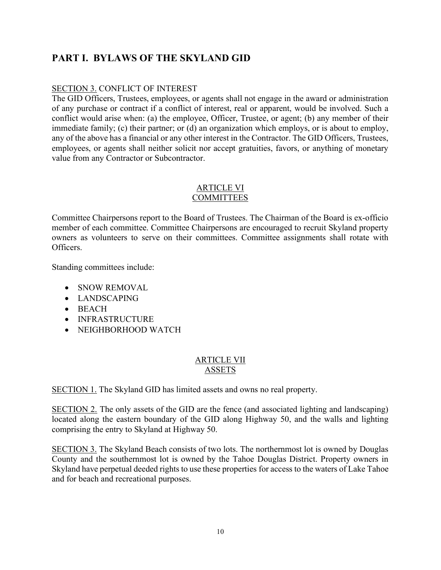### SECTION 3. CONFLICT OF INTEREST

The GID Officers, Trustees, employees, or agents shall not engage in the award or administration of any purchase or contract if a conflict of interest, real or apparent, would be involved. Such a conflict would arise when: (a) the employee, Officer, Trustee, or agent; (b) any member of their immediate family; (c) their partner; or (d) an organization which employs, or is about to employ, any of the above has a financial or any other interest in the Contractor. The GID Officers, Trustees, employees, or agents shall neither solicit nor accept gratuities, favors, or anything of monetary value from any Contractor or Subcontractor.

### ARTICLE VI **COMMITTEES**

Committee Chairpersons report to the Board of Trustees. The Chairman of the Board is ex-officio member of each committee. Committee Chairpersons are encouraged to recruit Skyland property owners as volunteers to serve on their committees. Committee assignments shall rotate with Officers.

Standing committees include:

- SNOW REMOVAL
- LANDSCAPING
- BEACH
- INFRASTRUCTURE
- NEIGHBORHOOD WATCH

### ARTICLE VII ASSETS

SECTION 1. The Skyland GID has limited assets and owns no real property.

SECTION 2. The only assets of the GID are the fence (and associated lighting and landscaping) located along the eastern boundary of the GID along Highway 50, and the walls and lighting comprising the entry to Skyland at Highway 50.

SECTION 3. The Skyland Beach consists of two lots. The northernmost lot is owned by Douglas County and the southernmost lot is owned by the Tahoe Douglas District. Property owners in Skyland have perpetual deeded rights to use these properties for access to the waters of Lake Tahoe and for beach and recreational purposes.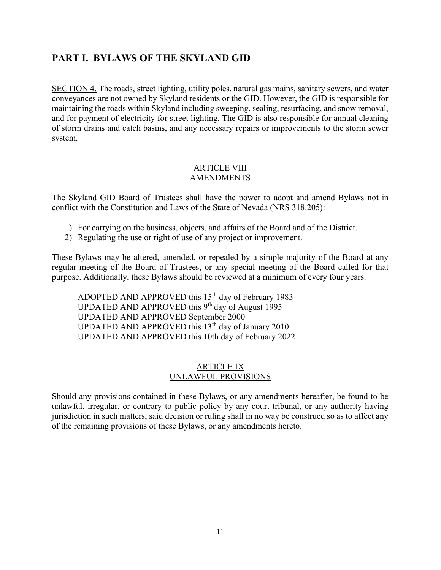SECTION 4. The roads, street lighting, utility poles, natural gas mains, sanitary sewers, and water conveyances are not owned by Skyland residents or the GID. However, the GID is responsible for maintaining the roads within Skyland including sweeping, sealing, resurfacing, and snow removal, and for payment of electricity for street lighting. The GID is also responsible for annual cleaning of storm drains and catch basins, and any necessary repairs or improvements to the storm sewer system.

### ARTICLE VIII AMENDMENTS

The Skyland GID Board of Trustees shall have the power to adopt and amend Bylaws not in conflict with the Constitution and Laws of the State of Nevada (NRS 318.205):

- 1) For carrying on the business, objects, and affairs of the Board and of the District.
- 2) Regulating the use or right of use of any project or improvement.

These Bylaws may be altered, amended, or repealed by a simple majority of the Board at any regular meeting of the Board of Trustees, or any special meeting of the Board called for that purpose. Additionally, these Bylaws should be reviewed at a minimum of every four years.

ADOPTED AND APPROVED this 15<sup>th</sup> day of February 1983 UPDATED AND APPROVED this  $9<sup>th</sup>$  day of August 1995 UPDATED AND APPROVED September 2000 UPDATED AND APPROVED this  $13<sup>th</sup>$  day of January 2010 UPDATED AND APPROVED this 10th day of February 2022

### ARTICLE IX UNLAWFUL PROVISIONS

Should any provisions contained in these Bylaws, or any amendments hereafter, be found to be unlawful, irregular, or contrary to public policy by any court tribunal, or any authority having jurisdiction in such matters, said decision or ruling shall in no way be construed so as to affect any of the remaining provisions of these Bylaws, or any amendments hereto.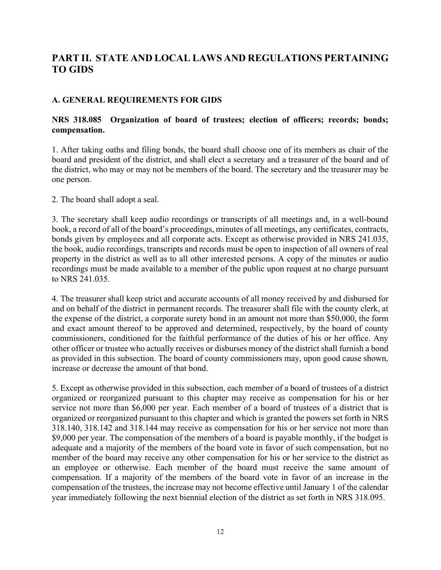### A. GENERAL REQUIREMENTS FOR GIDS

### NRS 318.085 Organization of board of trustees; election of officers; records; bonds; compensation.

1. After taking oaths and filing bonds, the board shall choose one of its members as chair of the board and president of the district, and shall elect a secretary and a treasurer of the board and of the district, who may or may not be members of the board. The secretary and the treasurer may be one person.

2. The board shall adopt a seal.

3. The secretary shall keep audio recordings or transcripts of all meetings and, in a well-bound book, a record of all of the board's proceedings, minutes of all meetings, any certificates, contracts, bonds given by employees and all corporate acts. Except as otherwise provided in NRS 241.035, the book, audio recordings, transcripts and records must be open to inspection of all owners of real property in the district as well as to all other interested persons. A copy of the minutes or audio recordings must be made available to a member of the public upon request at no charge pursuant to NRS 241.035.

4. The treasurer shall keep strict and accurate accounts of all money received by and disbursed for and on behalf of the district in permanent records. The treasurer shall file with the county clerk, at the expense of the district, a corporate surety bond in an amount not more than \$50,000, the form and exact amount thereof to be approved and determined, respectively, by the board of county commissioners, conditioned for the faithful performance of the duties of his or her office. Any other officer or trustee who actually receives or disburses money of the district shall furnish a bond as provided in this subsection. The board of county commissioners may, upon good cause shown, increase or decrease the amount of that bond.

5. Except as otherwise provided in this subsection, each member of a board of trustees of a district organized or reorganized pursuant to this chapter may receive as compensation for his or her service not more than \$6,000 per year. Each member of a board of trustees of a district that is organized or reorganized pursuant to this chapter and which is granted the powers set forth in NRS 318.140, 318.142 and 318.144 may receive as compensation for his or her service not more than \$9,000 per year. The compensation of the members of a board is payable monthly, if the budget is adequate and a majority of the members of the board vote in favor of such compensation, but no member of the board may receive any other compensation for his or her service to the district as an employee or otherwise. Each member of the board must receive the same amount of compensation. If a majority of the members of the board vote in favor of an increase in the compensation of the trustees, the increase may not become effective until January 1 of the calendar year immediately following the next biennial election of the district as set forth in NRS 318.095.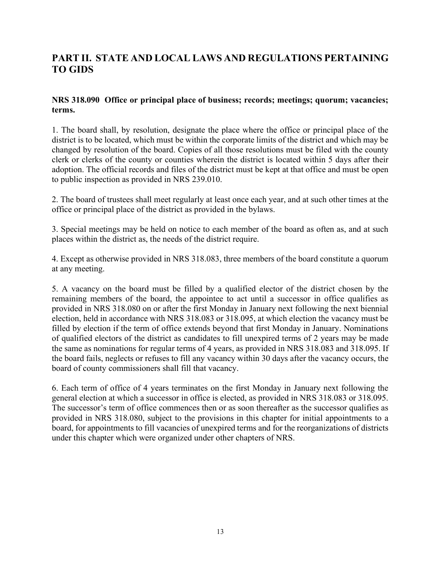### NRS 318.090 Office or principal place of business; records; meetings; quorum; vacancies; terms.

1. The board shall, by resolution, designate the place where the office or principal place of the district is to be located, which must be within the corporate limits of the district and which may be changed by resolution of the board. Copies of all those resolutions must be filed with the county clerk or clerks of the county or counties wherein the district is located within 5 days after their adoption. The official records and files of the district must be kept at that office and must be open to public inspection as provided in NRS 239.010.

2. The board of trustees shall meet regularly at least once each year, and at such other times at the office or principal place of the district as provided in the bylaws.

3. Special meetings may be held on notice to each member of the board as often as, and at such places within the district as, the needs of the district require.

4. Except as otherwise provided in NRS 318.083, three members of the board constitute a quorum at any meeting.

5. A vacancy on the board must be filled by a qualified elector of the district chosen by the remaining members of the board, the appointee to act until a successor in office qualifies as provided in NRS 318.080 on or after the first Monday in January next following the next biennial election, held in accordance with NRS 318.083 or 318.095, at which election the vacancy must be filled by election if the term of office extends beyond that first Monday in January. Nominations of qualified electors of the district as candidates to fill unexpired terms of 2 years may be made the same as nominations for regular terms of 4 years, as provided in NRS 318.083 and 318.095. If the board fails, neglects or refuses to fill any vacancy within 30 days after the vacancy occurs, the board of county commissioners shall fill that vacancy.

6. Each term of office of 4 years terminates on the first Monday in January next following the general election at which a successor in office is elected, as provided in NRS 318.083 or 318.095. The successor's term of office commences then or as soon thereafter as the successor qualifies as provided in NRS 318.080, subject to the provisions in this chapter for initial appointments to a board, for appointments to fill vacancies of unexpired terms and for the reorganizations of districts under this chapter which were organized under other chapters of NRS.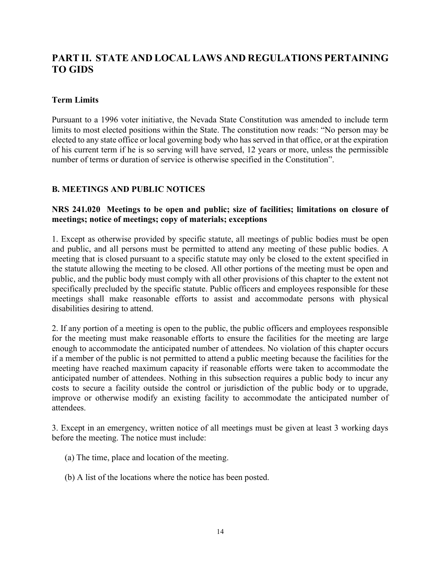### Term Limits

Pursuant to a 1996 voter initiative, the Nevada State Constitution was amended to include term limits to most elected positions within the State. The constitution now reads: "No person may be elected to any state office or local governing body who has served in that office, or at the expiration of his current term if he is so serving will have served, 12 years or more, unless the permissible number of terms or duration of service is otherwise specified in the Constitution".

### B. MEETINGS AND PUBLIC NOTICES

### NRS 241.020 Meetings to be open and public; size of facilities; limitations on closure of meetings; notice of meetings; copy of materials; exceptions

1. Except as otherwise provided by specific statute, all meetings of public bodies must be open and public, and all persons must be permitted to attend any meeting of these public bodies. A meeting that is closed pursuant to a specific statute may only be closed to the extent specified in the statute allowing the meeting to be closed. All other portions of the meeting must be open and public, and the public body must comply with all other provisions of this chapter to the extent not specifically precluded by the specific statute. Public officers and employees responsible for these meetings shall make reasonable efforts to assist and accommodate persons with physical disabilities desiring to attend.

2. If any portion of a meeting is open to the public, the public officers and employees responsible for the meeting must make reasonable efforts to ensure the facilities for the meeting are large enough to accommodate the anticipated number of attendees. No violation of this chapter occurs if a member of the public is not permitted to attend a public meeting because the facilities for the meeting have reached maximum capacity if reasonable efforts were taken to accommodate the anticipated number of attendees. Nothing in this subsection requires a public body to incur any costs to secure a facility outside the control or jurisdiction of the public body or to upgrade, improve or otherwise modify an existing facility to accommodate the anticipated number of attendees.

3. Except in an emergency, written notice of all meetings must be given at least 3 working days before the meeting. The notice must include:

- (a) The time, place and location of the meeting.
- (b) A list of the locations where the notice has been posted.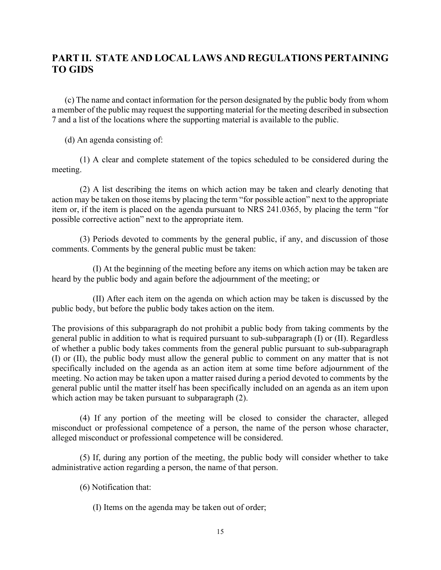(c) The name and contact information for the person designated by the public body from whom a member of the public may request the supporting material for the meeting described in subsection 7 and a list of the locations where the supporting material is available to the public.

(d) An agenda consisting of:

 (1) A clear and complete statement of the topics scheduled to be considered during the meeting.

 (2) A list describing the items on which action may be taken and clearly denoting that action may be taken on those items by placing the term "for possible action" next to the appropriate item or, if the item is placed on the agenda pursuant to NRS 241.0365, by placing the term "for possible corrective action" next to the appropriate item.

 (3) Periods devoted to comments by the general public, if any, and discussion of those comments. Comments by the general public must be taken:

 (I) At the beginning of the meeting before any items on which action may be taken are heard by the public body and again before the adjournment of the meeting; or

 (II) After each item on the agenda on which action may be taken is discussed by the public body, but before the public body takes action on the item.

The provisions of this subparagraph do not prohibit a public body from taking comments by the general public in addition to what is required pursuant to sub-subparagraph (I) or (II). Regardless of whether a public body takes comments from the general public pursuant to sub-subparagraph (I) or (II), the public body must allow the general public to comment on any matter that is not specifically included on the agenda as an action item at some time before adjournment of the meeting. No action may be taken upon a matter raised during a period devoted to comments by the general public until the matter itself has been specifically included on an agenda as an item upon which action may be taken pursuant to subparagraph (2).

 (4) If any portion of the meeting will be closed to consider the character, alleged misconduct or professional competence of a person, the name of the person whose character, alleged misconduct or professional competence will be considered.

 (5) If, during any portion of the meeting, the public body will consider whether to take administrative action regarding a person, the name of that person.

(6) Notification that:

(I) Items on the agenda may be taken out of order;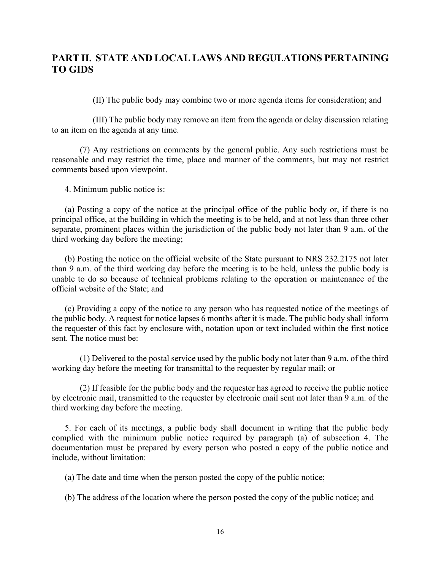(II) The public body may combine two or more agenda items for consideration; and

 (III) The public body may remove an item from the agenda or delay discussion relating to an item on the agenda at any time.

 (7) Any restrictions on comments by the general public. Any such restrictions must be reasonable and may restrict the time, place and manner of the comments, but may not restrict comments based upon viewpoint.

4. Minimum public notice is:

 (a) Posting a copy of the notice at the principal office of the public body or, if there is no principal office, at the building in which the meeting is to be held, and at not less than three other separate, prominent places within the jurisdiction of the public body not later than 9 a.m. of the third working day before the meeting;

 (b) Posting the notice on the official website of the State pursuant to NRS 232.2175 not later than 9 a.m. of the third working day before the meeting is to be held, unless the public body is unable to do so because of technical problems relating to the operation or maintenance of the official website of the State; and

 (c) Providing a copy of the notice to any person who has requested notice of the meetings of the public body. A request for notice lapses 6 months after it is made. The public body shall inform the requester of this fact by enclosure with, notation upon or text included within the first notice sent. The notice must be:

 (1) Delivered to the postal service used by the public body not later than 9 a.m. of the third working day before the meeting for transmittal to the requester by regular mail; or

 (2) If feasible for the public body and the requester has agreed to receive the public notice by electronic mail, transmitted to the requester by electronic mail sent not later than 9 a.m. of the third working day before the meeting.

 5. For each of its meetings, a public body shall document in writing that the public body complied with the minimum public notice required by paragraph (a) of subsection 4. The documentation must be prepared by every person who posted a copy of the public notice and include, without limitation:

(a) The date and time when the person posted the copy of the public notice;

(b) The address of the location where the person posted the copy of the public notice; and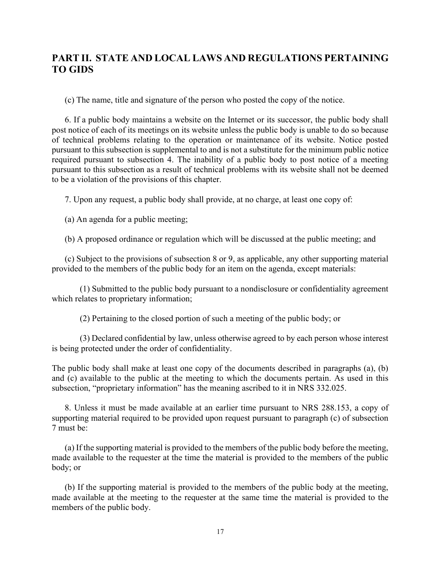(c) The name, title and signature of the person who posted the copy of the notice.

 6. If a public body maintains a website on the Internet or its successor, the public body shall post notice of each of its meetings on its website unless the public body is unable to do so because of technical problems relating to the operation or maintenance of its website. Notice posted pursuant to this subsection is supplemental to and is not a substitute for the minimum public notice required pursuant to subsection 4. The inability of a public body to post notice of a meeting pursuant to this subsection as a result of technical problems with its website shall not be deemed to be a violation of the provisions of this chapter.

7. Upon any request, a public body shall provide, at no charge, at least one copy of:

(a) An agenda for a public meeting;

(b) A proposed ordinance or regulation which will be discussed at the public meeting; and

 (c) Subject to the provisions of subsection 8 or 9, as applicable, any other supporting material provided to the members of the public body for an item on the agenda, except materials:

 (1) Submitted to the public body pursuant to a nondisclosure or confidentiality agreement which relates to proprietary information;

(2) Pertaining to the closed portion of such a meeting of the public body; or

 (3) Declared confidential by law, unless otherwise agreed to by each person whose interest is being protected under the order of confidentiality.

The public body shall make at least one copy of the documents described in paragraphs (a), (b) and (c) available to the public at the meeting to which the documents pertain. As used in this subsection, "proprietary information" has the meaning ascribed to it in NRS 332.025.

 8. Unless it must be made available at an earlier time pursuant to NRS 288.153, a copy of supporting material required to be provided upon request pursuant to paragraph (c) of subsection 7 must be:

 (a) If the supporting material is provided to the members of the public body before the meeting, made available to the requester at the time the material is provided to the members of the public body; or

 (b) If the supporting material is provided to the members of the public body at the meeting, made available at the meeting to the requester at the same time the material is provided to the members of the public body.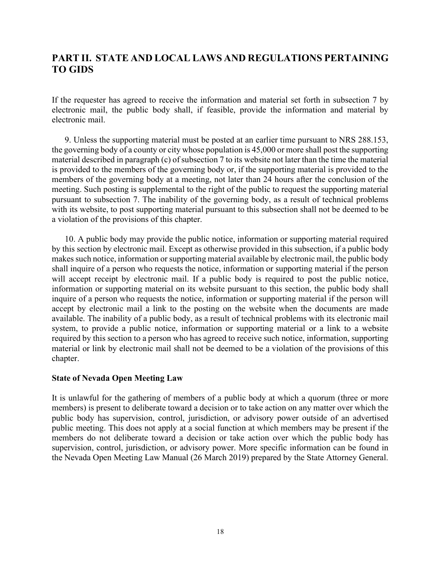If the requester has agreed to receive the information and material set forth in subsection 7 by electronic mail, the public body shall, if feasible, provide the information and material by electronic mail.

 9. Unless the supporting material must be posted at an earlier time pursuant to NRS 288.153, the governing body of a county or city whose population is 45,000 or more shall post the supporting material described in paragraph (c) of subsection 7 to its website not later than the time the material is provided to the members of the governing body or, if the supporting material is provided to the members of the governing body at a meeting, not later than 24 hours after the conclusion of the meeting. Such posting is supplemental to the right of the public to request the supporting material pursuant to subsection 7. The inability of the governing body, as a result of technical problems with its website, to post supporting material pursuant to this subsection shall not be deemed to be a violation of the provisions of this chapter.

 10. A public body may provide the public notice, information or supporting material required by this section by electronic mail. Except as otherwise provided in this subsection, if a public body makes such notice, information or supporting material available by electronic mail, the public body shall inquire of a person who requests the notice, information or supporting material if the person will accept receipt by electronic mail. If a public body is required to post the public notice, information or supporting material on its website pursuant to this section, the public body shall inquire of a person who requests the notice, information or supporting material if the person will accept by electronic mail a link to the posting on the website when the documents are made available. The inability of a public body, as a result of technical problems with its electronic mail system, to provide a public notice, information or supporting material or a link to a website required by this section to a person who has agreed to receive such notice, information, supporting material or link by electronic mail shall not be deemed to be a violation of the provisions of this chapter.

#### State of Nevada Open Meeting Law

It is unlawful for the gathering of members of a public body at which a quorum (three or more members) is present to deliberate toward a decision or to take action on any matter over which the public body has supervision, control, jurisdiction, or advisory power outside of an advertised public meeting. This does not apply at a social function at which members may be present if the members do not deliberate toward a decision or take action over which the public body has supervision, control, jurisdiction, or advisory power. More specific information can be found in the Nevada Open Meeting Law Manual (26 March 2019) prepared by the State Attorney General.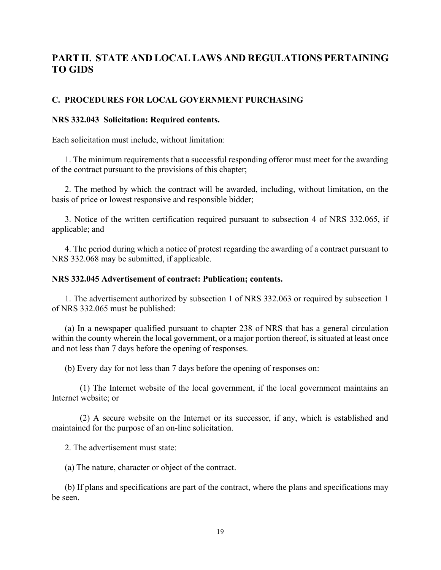#### C. PROCEDURES FOR LOCAL GOVERNMENT PURCHASING

#### NRS 332.043 Solicitation: Required contents.

Each solicitation must include, without limitation:

 1. The minimum requirements that a successful responding offeror must meet for the awarding of the contract pursuant to the provisions of this chapter;

 2. The method by which the contract will be awarded, including, without limitation, on the basis of price or lowest responsive and responsible bidder;

 3. Notice of the written certification required pursuant to subsection 4 of NRS 332.065, if applicable; and

 4. The period during which a notice of protest regarding the awarding of a contract pursuant to NRS 332.068 may be submitted, if applicable.

#### NRS 332.045 Advertisement of contract: Publication; contents.

 1. The advertisement authorized by subsection 1 of NRS 332.063 or required by subsection 1 of NRS 332.065 must be published:

 (a) In a newspaper qualified pursuant to chapter 238 of NRS that has a general circulation within the county wherein the local government, or a major portion thereof, is situated at least once and not less than 7 days before the opening of responses.

(b) Every day for not less than 7 days before the opening of responses on:

 (1) The Internet website of the local government, if the local government maintains an Internet website; or

 (2) A secure website on the Internet or its successor, if any, which is established and maintained for the purpose of an on-line solicitation.

2. The advertisement must state:

(a) The nature, character or object of the contract.

 (b) If plans and specifications are part of the contract, where the plans and specifications may be seen.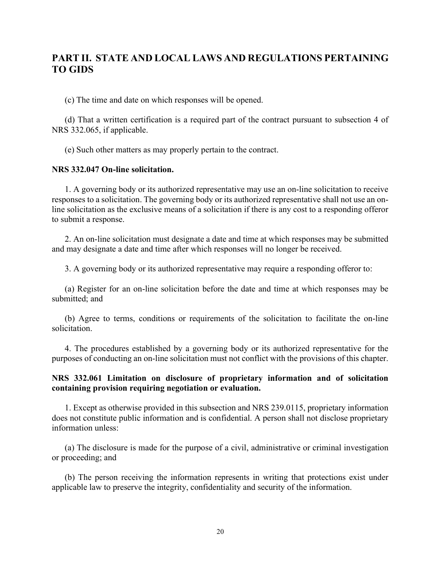(c) The time and date on which responses will be opened.

 (d) That a written certification is a required part of the contract pursuant to subsection 4 of NRS 332.065, if applicable.

(e) Such other matters as may properly pertain to the contract.

#### NRS 332.047 On-line solicitation.

 1. A governing body or its authorized representative may use an on-line solicitation to receive responses to a solicitation. The governing body or its authorized representative shall not use an online solicitation as the exclusive means of a solicitation if there is any cost to a responding offeror to submit a response.

 2. An on-line solicitation must designate a date and time at which responses may be submitted and may designate a date and time after which responses will no longer be received.

3. A governing body or its authorized representative may require a responding offeror to:

 (a) Register for an on-line solicitation before the date and time at which responses may be submitted; and

 (b) Agree to terms, conditions or requirements of the solicitation to facilitate the on-line solicitation.

 4. The procedures established by a governing body or its authorized representative for the purposes of conducting an on-line solicitation must not conflict with the provisions of this chapter.

#### NRS 332.061 Limitation on disclosure of proprietary information and of solicitation containing provision requiring negotiation or evaluation.

 1. Except as otherwise provided in this subsection and NRS 239.0115, proprietary information does not constitute public information and is confidential. A person shall not disclose proprietary information unless:

 (a) The disclosure is made for the purpose of a civil, administrative or criminal investigation or proceeding; and

 (b) The person receiving the information represents in writing that protections exist under applicable law to preserve the integrity, confidentiality and security of the information.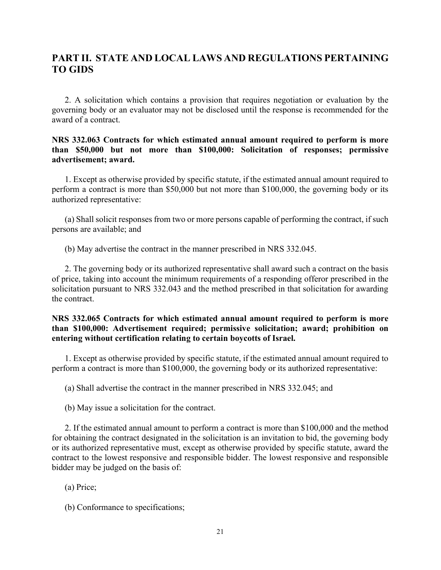2. A solicitation which contains a provision that requires negotiation or evaluation by the governing body or an evaluator may not be disclosed until the response is recommended for the award of a contract.

### NRS 332.063 Contracts for which estimated annual amount required to perform is more than \$50,000 but not more than \$100,000: Solicitation of responses; permissive advertisement; award.

 1. Except as otherwise provided by specific statute, if the estimated annual amount required to perform a contract is more than \$50,000 but not more than \$100,000, the governing body or its authorized representative:

 (a) Shall solicit responses from two or more persons capable of performing the contract, if such persons are available; and

(b) May advertise the contract in the manner prescribed in NRS 332.045.

 2. The governing body or its authorized representative shall award such a contract on the basis of price, taking into account the minimum requirements of a responding offeror prescribed in the solicitation pursuant to NRS 332.043 and the method prescribed in that solicitation for awarding the contract.

### NRS 332.065 Contracts for which estimated annual amount required to perform is more than \$100,000: Advertisement required; permissive solicitation; award; prohibition on entering without certification relating to certain boycotts of Israel.

 1. Except as otherwise provided by specific statute, if the estimated annual amount required to perform a contract is more than \$100,000, the governing body or its authorized representative:

(a) Shall advertise the contract in the manner prescribed in NRS 332.045; and

(b) May issue a solicitation for the contract.

 2. If the estimated annual amount to perform a contract is more than \$100,000 and the method for obtaining the contract designated in the solicitation is an invitation to bid, the governing body or its authorized representative must, except as otherwise provided by specific statute, award the contract to the lowest responsive and responsible bidder. The lowest responsive and responsible bidder may be judged on the basis of:

(a) Price;

(b) Conformance to specifications;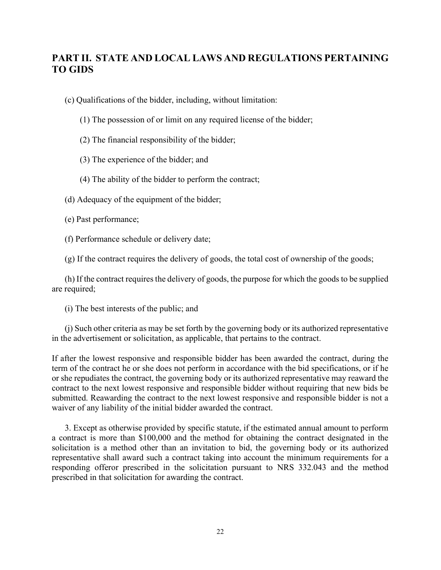(c) Qualifications of the bidder, including, without limitation:

- (1) The possession of or limit on any required license of the bidder;
- (2) The financial responsibility of the bidder;
- (3) The experience of the bidder; and
- (4) The ability of the bidder to perform the contract;

(d) Adequacy of the equipment of the bidder;

- (e) Past performance;
- (f) Performance schedule or delivery date;

(g) If the contract requires the delivery of goods, the total cost of ownership of the goods;

 (h) If the contract requires the delivery of goods, the purpose for which the goods to be supplied are required;

(i) The best interests of the public; and

 (j) Such other criteria as may be set forth by the governing body or its authorized representative in the advertisement or solicitation, as applicable, that pertains to the contract.

If after the lowest responsive and responsible bidder has been awarded the contract, during the term of the contract he or she does not perform in accordance with the bid specifications, or if he or she repudiates the contract, the governing body or its authorized representative may reaward the contract to the next lowest responsive and responsible bidder without requiring that new bids be submitted. Reawarding the contract to the next lowest responsive and responsible bidder is not a waiver of any liability of the initial bidder awarded the contract.

 3. Except as otherwise provided by specific statute, if the estimated annual amount to perform a contract is more than \$100,000 and the method for obtaining the contract designated in the solicitation is a method other than an invitation to bid, the governing body or its authorized representative shall award such a contract taking into account the minimum requirements for a responding offeror prescribed in the solicitation pursuant to NRS 332.043 and the method prescribed in that solicitation for awarding the contract.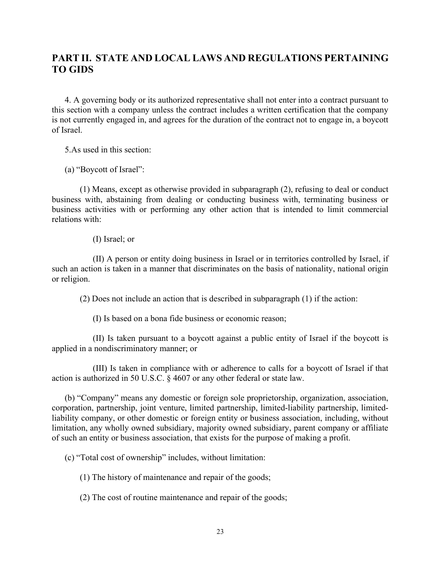4. A governing body or its authorized representative shall not enter into a contract pursuant to this section with a company unless the contract includes a written certification that the company is not currently engaged in, and agrees for the duration of the contract not to engage in, a boycott of Israel.

5.As used in this section:

(a) "Boycott of Israel":

 (1) Means, except as otherwise provided in subparagraph (2), refusing to deal or conduct business with, abstaining from dealing or conducting business with, terminating business or business activities with or performing any other action that is intended to limit commercial relations with:

#### (I) Israel; or

 (II) A person or entity doing business in Israel or in territories controlled by Israel, if such an action is taken in a manner that discriminates on the basis of nationality, national origin or religion.

(2) Does not include an action that is described in subparagraph (1) if the action:

(I) Is based on a bona fide business or economic reason;

 (II) Is taken pursuant to a boycott against a public entity of Israel if the boycott is applied in a nondiscriminatory manner; or

 (III) Is taken in compliance with or adherence to calls for a boycott of Israel if that action is authorized in 50 U.S.C. § 4607 or any other federal or state law.

 (b) "Company" means any domestic or foreign sole proprietorship, organization, association, corporation, partnership, joint venture, limited partnership, limited-liability partnership, limitedliability company, or other domestic or foreign entity or business association, including, without limitation, any wholly owned subsidiary, majority owned subsidiary, parent company or affiliate of such an entity or business association, that exists for the purpose of making a profit.

(c) "Total cost of ownership" includes, without limitation:

(1) The history of maintenance and repair of the goods;

(2) The cost of routine maintenance and repair of the goods;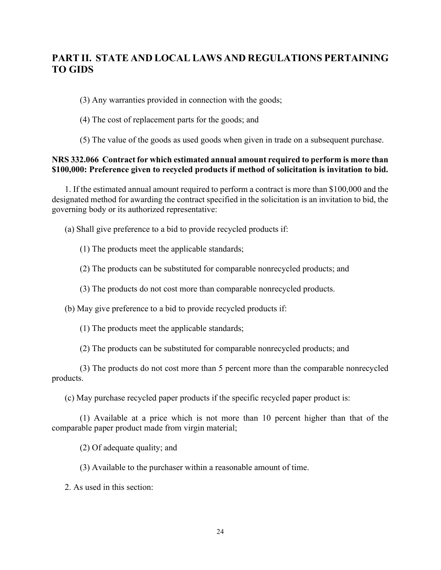(3) Any warranties provided in connection with the goods;

- (4) The cost of replacement parts for the goods; and
- (5) The value of the goods as used goods when given in trade on a subsequent purchase.

### NRS 332.066 Contract for which estimated annual amount required to perform is more than \$100,000: Preference given to recycled products if method of solicitation is invitation to bid.

 1. If the estimated annual amount required to perform a contract is more than \$100,000 and the designated method for awarding the contract specified in the solicitation is an invitation to bid, the governing body or its authorized representative:

(a) Shall give preference to a bid to provide recycled products if:

- (1) The products meet the applicable standards;
- (2) The products can be substituted for comparable nonrecycled products; and
- (3) The products do not cost more than comparable nonrecycled products.

(b) May give preference to a bid to provide recycled products if:

(1) The products meet the applicable standards;

(2) The products can be substituted for comparable nonrecycled products; and

 (3) The products do not cost more than 5 percent more than the comparable nonrecycled products.

(c) May purchase recycled paper products if the specific recycled paper product is:

 (1) Available at a price which is not more than 10 percent higher than that of the comparable paper product made from virgin material;

(2) Of adequate quality; and

(3) Available to the purchaser within a reasonable amount of time.

2. As used in this section: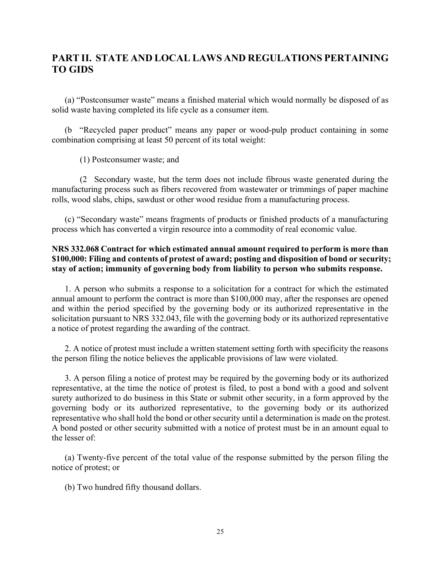(a) "Postconsumer waste" means a finished material which would normally be disposed of as solid waste having completed its life cycle as a consumer item.

 (b "Recycled paper product" means any paper or wood-pulp product containing in some combination comprising at least 50 percent of its total weight:

(1) Postconsumer waste; and

 (2 Secondary waste, but the term does not include fibrous waste generated during the manufacturing process such as fibers recovered from wastewater or trimmings of paper machine rolls, wood slabs, chips, sawdust or other wood residue from a manufacturing process.

 (c) "Secondary waste" means fragments of products or finished products of a manufacturing process which has converted a virgin resource into a commodity of real economic value.

### NRS 332.068 Contract for which estimated annual amount required to perform is more than \$100,000: Filing and contents of protest of award; posting and disposition of bond or security; stay of action; immunity of governing body from liability to person who submits response.

 1. A person who submits a response to a solicitation for a contract for which the estimated annual amount to perform the contract is more than \$100,000 may, after the responses are opened and within the period specified by the governing body or its authorized representative in the solicitation pursuant to NRS 332.043, file with the governing body or its authorized representative a notice of protest regarding the awarding of the contract.

 2. A notice of protest must include a written statement setting forth with specificity the reasons the person filing the notice believes the applicable provisions of law were violated.

 3. A person filing a notice of protest may be required by the governing body or its authorized representative, at the time the notice of protest is filed, to post a bond with a good and solvent surety authorized to do business in this State or submit other security, in a form approved by the governing body or its authorized representative, to the governing body or its authorized representative who shall hold the bond or other security until a determination is made on the protest. A bond posted or other security submitted with a notice of protest must be in an amount equal to the lesser of:

 (a) Twenty-five percent of the total value of the response submitted by the person filing the notice of protest; or

(b) Two hundred fifty thousand dollars.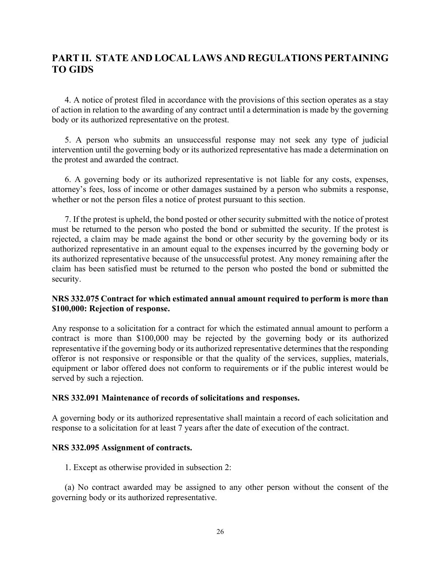4. A notice of protest filed in accordance with the provisions of this section operates as a stay of action in relation to the awarding of any contract until a determination is made by the governing body or its authorized representative on the protest.

 5. A person who submits an unsuccessful response may not seek any type of judicial intervention until the governing body or its authorized representative has made a determination on the protest and awarded the contract.

 6. A governing body or its authorized representative is not liable for any costs, expenses, attorney's fees, loss of income or other damages sustained by a person who submits a response, whether or not the person files a notice of protest pursuant to this section.

 7. If the protest is upheld, the bond posted or other security submitted with the notice of protest must be returned to the person who posted the bond or submitted the security. If the protest is rejected, a claim may be made against the bond or other security by the governing body or its authorized representative in an amount equal to the expenses incurred by the governing body or its authorized representative because of the unsuccessful protest. Any money remaining after the claim has been satisfied must be returned to the person who posted the bond or submitted the security.

### NRS 332.075 Contract for which estimated annual amount required to perform is more than \$100,000: Rejection of response.

Any response to a solicitation for a contract for which the estimated annual amount to perform a contract is more than \$100,000 may be rejected by the governing body or its authorized representative if the governing body or its authorized representative determines that the responding offeror is not responsive or responsible or that the quality of the services, supplies, materials, equipment or labor offered does not conform to requirements or if the public interest would be served by such a rejection.

### NRS 332.091 Maintenance of records of solicitations and responses.

A governing body or its authorized representative shall maintain a record of each solicitation and response to a solicitation for at least 7 years after the date of execution of the contract.

### NRS 332.095 Assignment of contracts.

1. Except as otherwise provided in subsection 2:

 (a) No contract awarded may be assigned to any other person without the consent of the governing body or its authorized representative.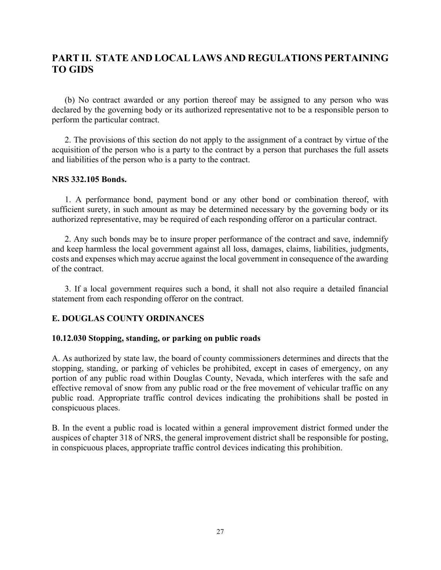(b) No contract awarded or any portion thereof may be assigned to any person who was declared by the governing body or its authorized representative not to be a responsible person to perform the particular contract.

 2. The provisions of this section do not apply to the assignment of a contract by virtue of the acquisition of the person who is a party to the contract by a person that purchases the full assets and liabilities of the person who is a party to the contract.

#### NRS 332.105 Bonds.

 1. A performance bond, payment bond or any other bond or combination thereof, with sufficient surety, in such amount as may be determined necessary by the governing body or its authorized representative, may be required of each responding offeror on a particular contract.

 2. Any such bonds may be to insure proper performance of the contract and save, indemnify and keep harmless the local government against all loss, damages, claims, liabilities, judgments, costs and expenses which may accrue against the local government in consequence of the awarding of the contract.

 3. If a local government requires such a bond, it shall not also require a detailed financial statement from each responding offeror on the contract.

### E. DOUGLAS COUNTY ORDINANCES

### 10.12.030 Stopping, standing, or parking on public roads

A. As authorized by state law, the board of county commissioners determines and directs that the stopping, standing, or parking of vehicles be prohibited, except in cases of emergency, on any portion of any public road within Douglas County, Nevada, which interferes with the safe and effective removal of snow from any public road or the free movement of vehicular traffic on any public road. Appropriate traffic control devices indicating the prohibitions shall be posted in conspicuous places.

B. In the event a public road is located within a general improvement district formed under the auspices of chapter 318 of NRS, the general improvement district shall be responsible for posting, in conspicuous places, appropriate traffic control devices indicating this prohibition.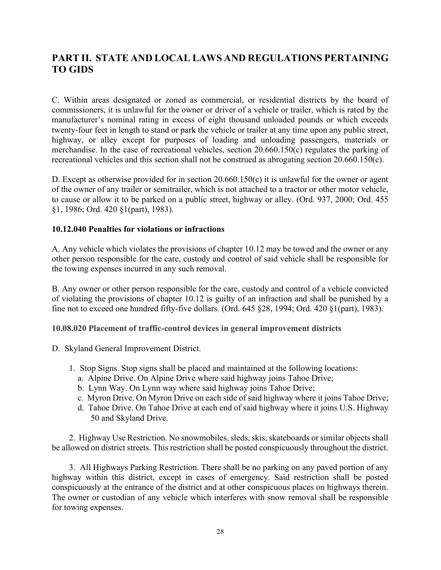C. Within areas designated or zoned as commercial, or residential districts by the board of commissioners, it is unlawful for the owner or driver of a vehicle or trailer, which is rated by the manufacturer's nominal rating in excess of eight thousand unloaded pounds or which exceeds twenty-four feet in length to stand or park the vehicle or trailer at any time upon any public street, highway, or alley except for purposes of loading and unloading passengers, materials or merchandise. In the case of recreational vehicles, section 20.660.150(c) regulates the parking of recreational vehicles and this section shall not be construed as abrogating section 20.660.150(c).

D. Except as otherwise provided for in section 20.660.150(c) it is unlawful for the owner or agent of the owner of any trailer or semitrailer, which is not attached to a tractor or other motor vehicle, to cause or allow it to be parked on a public street, highway or alley. (Ord. 937, 2000; Ord. 455 §1, 1986; Ord. 420 §1(part), 1983).

### 10.12.040 Penalties for violations or infractions

A. Any vehicle which violates the provisions of chapter 10.12 may be towed and the owner or any other person responsible for the care, custody and control of said vehicle shall be responsible for the towing expenses incurred in any such removal.

B. Any owner or other person responsible for the care, custody and control of a vehicle convicted of violating the provisions of chapter 10.12 is guilty of an infraction and shall be punished by a fine not to exceed one hundred fifty-five dollars. (Ord. 645 §28, 1994; Ord. 420 §1(part), 1983).

### 10.08.020 Placement of traffic-control devices in general improvement districts

- D. Skyland General Improvement District.
	- 1. Stop Signs. Stop signs shall be placed and maintained at the following locations:
		- a. Alpine Drive. On Alpine Drive where said highway joins Tahoe Drive;
		- b. Lynn Way. On Lynn way where said highway joins Tahoe Drive;
		- c. Myron Drive. On Myron Drive on each side of said highway where it joins Tahoe Drive;
		- d. Tahoe Drive. On Tahoe Drive at each end of said highway where it joins U.S. Highway 50 and Skyland Drive.

 2. Highway Use Restriction. No snowmobiles, sleds, skis, skateboards or similar objects shall be allowed on district streets. This restriction shall be posted conspicuously throughout the district.

 3. All Highways Parking Restriction. There shall be no parking on any paved portion of any highway within this district, except in cases of emergency. Said restriction shall be posted conspicuously at the entrance of the district and at other conspicuous places on highways therein. The owner or custodian of any vehicle which interferes with snow removal shall be responsible for towing expenses.